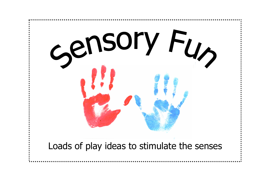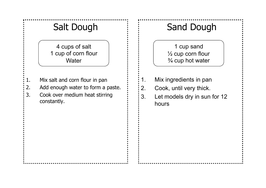# Salt Dough

4 cups of salt 1 cup of corn flour **Water** 

- 1. Mix salt and corn flour in pan
- 2. Add enough water to form a paste.
- 3. Cook over medium heat stirring constantly.

# Sand Dough

1 cup sand ½ cup corn flour ¾ cup hot water

- 1. Mix ingredients in pan
- 2. Cook, until very thick.
- 3. Let models dry in sun for 12 hours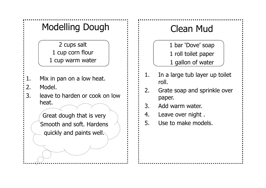# Modelling Dough

2 cups salt 1 cup corn flour 1 cup warm water

- 1. Mix in pan on a low heat.
- 2. Model.
- 3. leave to harden or cook on low heat.

Great dough that is very Smooth and soft. Hardens quickly and paints well.

# Clean Mud

1 bar 'Dove' soap 1 roll toilet paper

1 gallon of water

- 1. In a large tub layer up toilet roll.
- 2. Grate soap and sprinkle over paper.
- 3. Add warm water.
- 4. Leave over night .
- 5. Use to make models.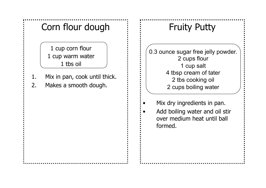# Corn flour dough  $\vdots$   $\vdots$  Fruity Putty

1 cup corn flour 1 cup warm water 1 tbs oil

- 1. Mix in pan, cook until thick.
- 2. Makes a smooth dough.

0.3 ounce sugar free jelly powder. 2 cups flour 1 cup salt 4 tbsp cream of tater 2 tbs cooking oil 2 cups boiling water

Mix dry ingredients in pan.

Add boiling water and oil stir over medium heat until ball formed.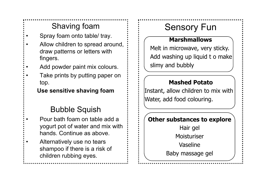## Shaving foam

- Spray foam onto table/ tray.
- Allow children to spread around, draw patterns or letters with fingers.
- Add powder paint mix colours.
	- Take prints by putting paper on top.

## **Use sensitive shaving foam**

## Bubble Squish

- Pour bath foam on table add a yogurt pot of water and mix with hands. Continue as above.
- Alternatively use no tears shampoo if there is a risk of children rubbing eyes.

# Sensory Fun

## **Marshmallows**

Melt in microwave, very sticky. Add washing up liquid t o make slimy and bubbly

## **Mashed Potato**

Instant, allow children to mix with Water, add food colouring.

## **Other substances to explore**

Hair gel Moisturiser Vaseline

Baby massage gel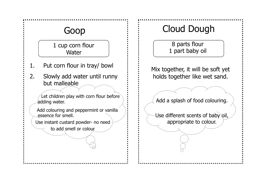## Goop

1 cup corn flour **Water** 

- 1. Put corn flour in tray/ bowl
- 2. Slowly add water until runny but malleable

Let children play with corn flour before adding water.

 Add colouring and peppermint or vanilla essence for smell.

Use instant custard powder- no need

to add smell or colour

# Cloud Dough

8 parts flour 1 part baby oil

Mix together, it will be soft yet holds together like wet sand.

Add a splash of food colouring.

Use different scents of baby oil, appropriate to colour.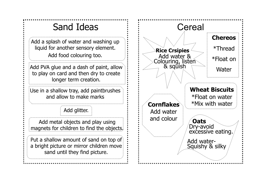Add a splash of water and washing up liquid for another sensory element. Add food colouring too.

Add PVA glue and a dash of paint, allow to play on card and then dry to create longer term creation.

Use in a shallow tray, add paintbrushes and allow to make marks

Add glitter.

Add metal objects and play using magnets for children to find the objects.

Put a shallow amount of sand on top of a bright picture or mirror children move sand until they find picture.

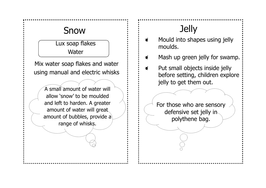# Snow  $\qquad \qquad \vdots \qquad$  Jelly

Lux soap flakes **Water** 

Mix water soap flakes and water using manual and electric whisks

> A small amount of water will allow 'snow' to be moulded and left to harden. A greater amount of water will great amount of bubbles, provide a range of whisks.

- Mould into shapes using jelly  $\bullet$ moulds.
- Mash up green jelly for swamp.  $\bullet$
- Put small objects inside jelly  $\bullet$ before setting, children explore jelly to get them out.

For those who are sensory defensive set jelly in polythene bag.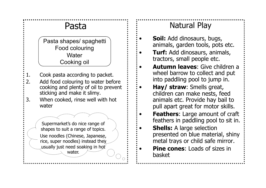# Pasta

Pasta shapes/ spaghetti Food colouring **Water** Cooking oil

- 1. Cook pasta according to packet.
- 2. Add food colouring to water before cooking and plenty of oil to prevent sticking and make it slimy.
- 3. When cooked, rinse well with hot water

Supermarket's do nice range of shapes to suit a range of topics. Use noodles (Chinese, Japanese, rice, super noodles) instead they usually just need soaking in hot water.

## Natural Play

- **Soil:** Add dinosaurs, bugs, animals, garden tools, pots etc.
- **Turf:** Add dinosaurs, animals, tractors, small people etc.
- **Autumn leaves**: Give children a wheel barrow to collect and put into paddling pool to jump in.
	- **Hay/ straw**: Smells great, children can make nests, feed animals etc. Provide hay bail to pull apart great for motor skills.
- **Feathers:** Large amount of craft feathers in paddling pool to sit in.
- **Shells:** A large selection presented on blue material, shiny metal trays or child safe mirror.
- **Pine cones:** Loads of sizes in basket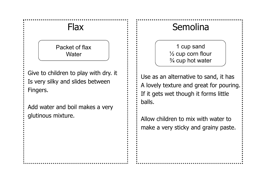Packet of flax **Water** 

Give to children to play with dry. it Is very silky and slides between Fingers.

Add water and boil makes a very glutinous mixture.

# Flax  $\vdots$   $\vdots$  Semolina

1 cup sand ½ cup corn flour ¾ cup hot water

Use as an alternative to sand, it has A lovely texture and great for pouring. If it gets wet though it forms little balls.

Allow children to mix with water to make a very sticky and grainy paste.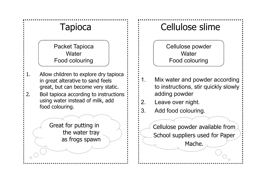# **Tapioca**

Packet Tapioca **Water** Food colouring

- 1. Allow children to explore dry tapioca in great alterative to sand feels great, but can become very static.
- 2. Boil tapioca according to instructions using water instead of milk, add food colouring.

Great for putting in the water tray as frogs spawn

# Cellulose slime

Cellulose powder **Water** Food colouring

- 1. Mix water and powder according to instructions, stir quickly slowly adding powder
- 2. Leave over night.
- 3. Add food colouring.

Cellulose powder available from School suppliers used for Paper

Mache.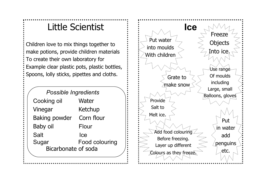# Little Scientist

Children love to mix things together to make potions, provide children materials To create their own laboratory for Example clear plastic pots, plastic bottles, Spoons, lolly sticks, pipettes and cloths.

| <b>Possible Ingredients</b> |                |
|-----------------------------|----------------|
| Cooking oil                 | Water          |
| Vinegar                     | Ketchup        |
| <b>Baking powder</b>        | Corn flour     |
| <b>Baby oil</b>             | Flour          |
| Salt                        | Ice            |
| Sugar                       | Food colouring |
| Bicarbonate of soda         |                |

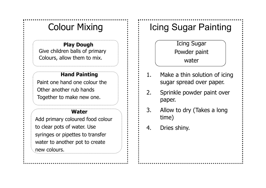### **Play Dough**

Give children balls of primary Colours, allow them to mix.

### **Hand Painting**

Paint one hand one colour the Other another rub hands Together to make new one.

### **Water**

Add primary coloured food colour to clear pots of water. Use syringes or pipettes to transfer water to another pot to create new colours.

# Colour Mixing  $\qquad \qquad \vdots \qquad \qquad$  Icing Sugar Painting

Icing Sugar Powder paint water

- 1. Make a thin solution of icing sugar spread over paper.
- 2. Sprinkle powder paint over paper.
- 3. Allow to dry (Takes a long time)
- 4. Dries shiny.